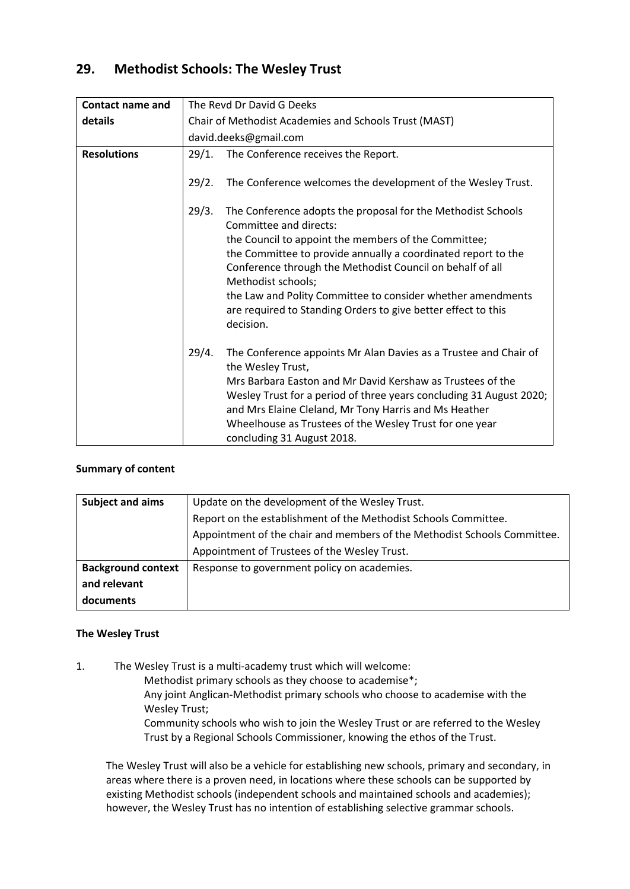# **29. Methodist Schools: The Wesley Trust**

| <b>Contact name and</b> | The Revd Dr David G Deeks                             |                                                                                                                                                                                                                                                                                                                                                                              |
|-------------------------|-------------------------------------------------------|------------------------------------------------------------------------------------------------------------------------------------------------------------------------------------------------------------------------------------------------------------------------------------------------------------------------------------------------------------------------------|
| details                 | Chair of Methodist Academies and Schools Trust (MAST) |                                                                                                                                                                                                                                                                                                                                                                              |
|                         | david.deeks@gmail.com                                 |                                                                                                                                                                                                                                                                                                                                                                              |
| <b>Resolutions</b>      | 29/1.                                                 | The Conference receives the Report.                                                                                                                                                                                                                                                                                                                                          |
|                         | 29/2.                                                 | The Conference welcomes the development of the Wesley Trust.                                                                                                                                                                                                                                                                                                                 |
|                         | 29/3.                                                 | The Conference adopts the proposal for the Methodist Schools<br>Committee and directs:                                                                                                                                                                                                                                                                                       |
|                         |                                                       | the Council to appoint the members of the Committee;<br>the Committee to provide annually a coordinated report to the<br>Conference through the Methodist Council on behalf of all<br>Methodist schools;<br>the Law and Polity Committee to consider whether amendments<br>are required to Standing Orders to give better effect to this<br>decision.                        |
|                         | 29/4.                                                 | The Conference appoints Mr Alan Davies as a Trustee and Chair of<br>the Wesley Trust,<br>Mrs Barbara Easton and Mr David Kershaw as Trustees of the<br>Wesley Trust for a period of three years concluding 31 August 2020;<br>and Mrs Elaine Cleland, Mr Tony Harris and Ms Heather<br>Wheelhouse as Trustees of the Wesley Trust for one year<br>concluding 31 August 2018. |

# **Summary of content**

| <b>Subject and aims</b>   | Update on the development of the Wesley Trust.                           |  |  |
|---------------------------|--------------------------------------------------------------------------|--|--|
|                           | Report on the establishment of the Methodist Schools Committee.          |  |  |
|                           | Appointment of the chair and members of the Methodist Schools Committee. |  |  |
|                           | Appointment of Trustees of the Wesley Trust.                             |  |  |
| <b>Background context</b> | Response to government policy on academies.                              |  |  |
| and relevant              |                                                                          |  |  |
| documents                 |                                                                          |  |  |

# **The Wesley Trust**

1. The Wesley Trust is a multi-academy trust which will welcome:

Methodist primary schools as they choose to academise\*;

Any joint Anglican-Methodist primary schools who choose to academise with the Wesley Trust;

Community schools who wish to join the Wesley Trust or are referred to the Wesley Trust by a Regional Schools Commissioner, knowing the ethos of the Trust.

The Wesley Trust will also be a vehicle for establishing new schools, primary and secondary, in areas where there is a proven need, in locations where these schools can be supported by existing Methodist schools (independent schools and maintained schools and academies); however, the Wesley Trust has no intention of establishing selective grammar schools.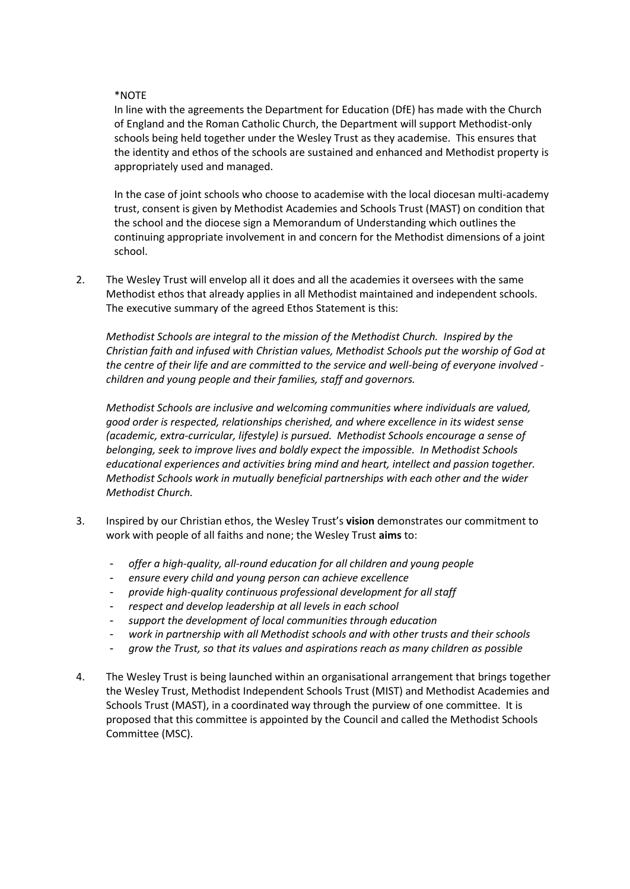# \*NOTE

In line with the agreements the Department for Education (DfE) has made with the Church of England and the Roman Catholic Church, the Department will support Methodist-only schools being held together under the Wesley Trust as they academise. This ensures that the identity and ethos of the schools are sustained and enhanced and Methodist property is appropriately used and managed.

In the case of joint schools who choose to academise with the local diocesan multi-academy trust, consent is given by Methodist Academies and Schools Trust (MAST) on condition that the school and the diocese sign a Memorandum of Understanding which outlines the continuing appropriate involvement in and concern for the Methodist dimensions of a joint school.

2. The Wesley Trust will envelop all it does and all the academies it oversees with the same Methodist ethos that already applies in all Methodist maintained and independent schools. The executive summary of the agreed Ethos Statement is this:

*Methodist Schools are integral to the mission of the Methodist Church. Inspired by the Christian faith and infused with Christian values, Methodist Schools put the worship of God at the centre of their life and are committed to the service and well-being of everyone involved children and young people and their families, staff and governors.*

*Methodist Schools are inclusive and welcoming communities where individuals are valued, good order is respected, relationships cherished, and where excellence in its widest sense (academic, extra-curricular, lifestyle) is pursued. Methodist Schools encourage a sense of belonging, seek to improve lives and boldly expect the impossible. In Methodist Schools educational experiences and activities bring mind and heart, intellect and passion together. Methodist Schools work in mutually beneficial partnerships with each other and the wider Methodist Church.*

- 3. Inspired by our Christian ethos, the Wesley Trust's **vision** demonstrates our commitment to work with people of all faiths and none; the Wesley Trust **aims** to:
	- *offer a high-quality, all-round education for all children and young people*
	- *ensure every child and young person can achieve excellence*
	- *provide high-quality continuous professional development for all staff*
	- *respect and develop leadership at all levels in each school*
	- *support the development of local communities through education*
	- work in partnership with all Methodist schools and with other trusts and their schools
	- *grow the Trust, so that its values and aspirations reach as many children as possible*
- 4. The Wesley Trust is being launched within an organisational arrangement that brings together the Wesley Trust, Methodist Independent Schools Trust (MIST) and Methodist Academies and Schools Trust (MAST), in a coordinated way through the purview of one committee. It is proposed that this committee is appointed by the Council and called the Methodist Schools Committee (MSC).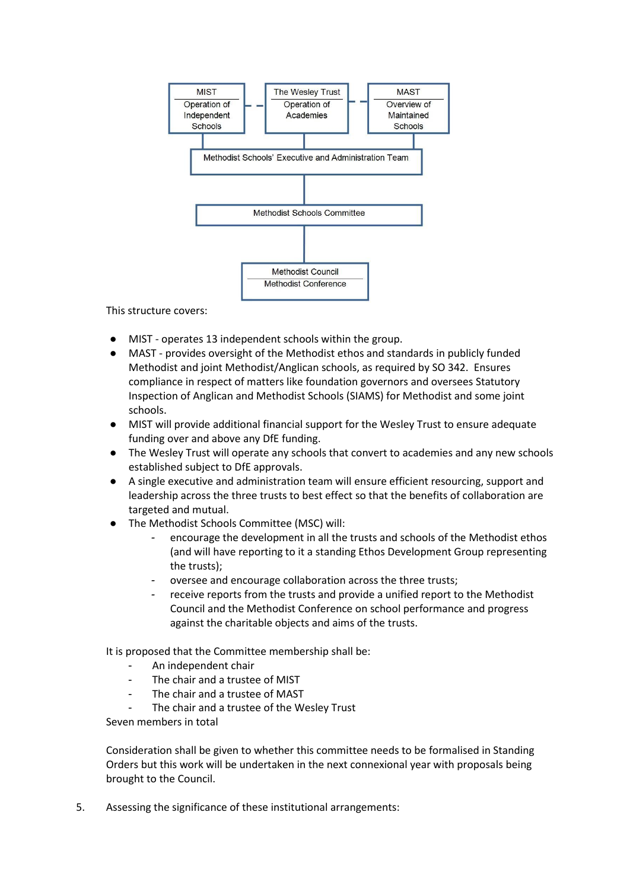

This structure covers:

- MIST operates 13 independent schools within the group.
- MAST provides oversight of the Methodist ethos and standards in publicly funded Methodist and joint Methodist/Anglican schools, as required by SO 342. Ensures compliance in respect of matters like foundation governors and oversees Statutory Inspection of Anglican and Methodist Schools (SIAMS) for Methodist and some joint schools.
- MIST will provide additional financial support for the Wesley Trust to ensure adequate funding over and above any DfE funding.
- The Wesley Trust will operate any schools that convert to academies and any new schools established subject to DfE approvals.
- A single executive and administration team will ensure efficient resourcing, support and leadership across the three trusts to best effect so that the benefits of collaboration are targeted and mutual.
- The Methodist Schools Committee (MSC) will:
	- *-* encourage the development in all the trusts and schools of the Methodist ethos (and will have reporting to it a standing Ethos Development Group representing the trusts);
	- *-* oversee and encourage collaboration across the three trusts;
	- *-* receive reports from the trusts and provide a unified report to the Methodist Council and the Methodist Conference on school performance and progress against the charitable objects and aims of the trusts.

It is proposed that the Committee membership shall be:

- An independent chair
- The chair and a trustee of MIST
- The chair and a trustee of MAST
- The chair and a trustee of the Wesley Trust

Seven members in total

Consideration shall be given to whether this committee needs to be formalised in Standing Orders but this work will be undertaken in the next connexional year with proposals being brought to the Council.

5. Assessing the significance of these institutional arrangements: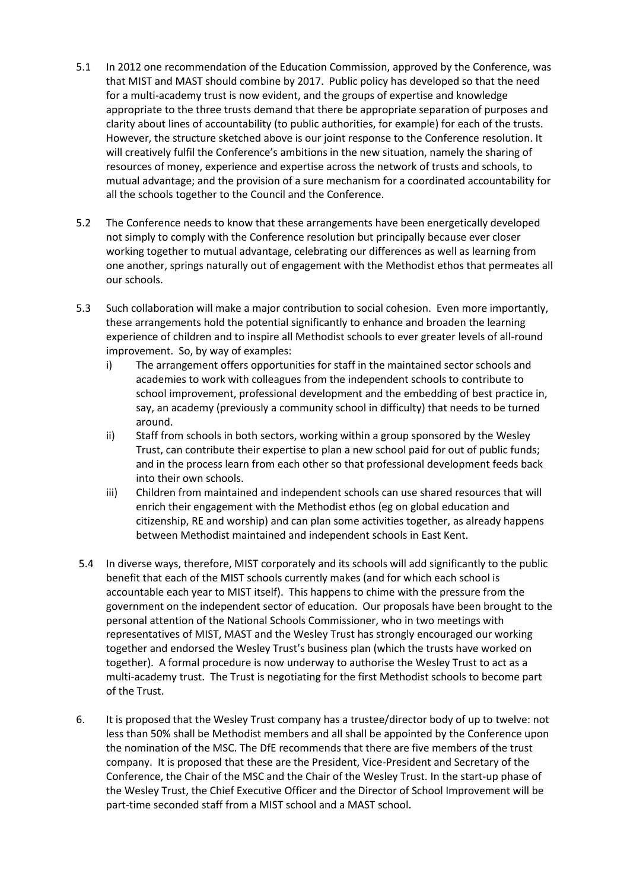- 5.1 In 2012 one recommendation of the Education Commission, approved by the Conference, was that MIST and MAST should combine by 2017. Public policy has developed so that the need for a multi-academy trust is now evident, and the groups of expertise and knowledge appropriate to the three trusts demand that there be appropriate separation of purposes and clarity about lines of accountability (to public authorities, for example) for each of the trusts. However, the structure sketched above is our joint response to the Conference resolution. It will creatively fulfil the Conference's ambitions in the new situation, namely the sharing of resources of money, experience and expertise across the network of trusts and schools, to mutual advantage; and the provision of a sure mechanism for a coordinated accountability for all the schools together to the Council and the Conference.
- 5.2 The Conference needs to know that these arrangements have been energetically developed not simply to comply with the Conference resolution but principally because ever closer working together to mutual advantage, celebrating our differences as well as learning from one another, springs naturally out of engagement with the Methodist ethos that permeates all our schools.
- 5.3 Such collaboration will make a major contribution to social cohesion. Even more importantly, these arrangements hold the potential significantly to enhance and broaden the learning experience of children and to inspire all Methodist schools to ever greater levels of all-round improvement. So, by way of examples:
	- i) The arrangement offers opportunities for staff in the maintained sector schools and academies to work with colleagues from the independent schools to contribute to school improvement, professional development and the embedding of best practice in, say, an academy (previously a community school in difficulty) that needs to be turned around.
	- ii) Staff from schools in both sectors, working within a group sponsored by the Wesley Trust, can contribute their expertise to plan a new school paid for out of public funds; and in the process learn from each other so that professional development feeds back into their own schools.
	- iii) Children from maintained and independent schools can use shared resources that will enrich their engagement with the Methodist ethos (eg on global education and citizenship, RE and worship) and can plan some activities together, as already happens between Methodist maintained and independent schools in East Kent.
- 5.4 In diverse ways, therefore, MIST corporately and its schools will add significantly to the public benefit that each of the MIST schools currently makes (and for which each school is accountable each year to MIST itself). This happens to chime with the pressure from the government on the independent sector of education. Our proposals have been brought to the personal attention of the National Schools Commissioner, who in two meetings with representatives of MIST, MAST and the Wesley Trust has strongly encouraged our working together and endorsed the Wesley Trust's business plan (which the trusts have worked on together). A formal procedure is now underway to authorise the Wesley Trust to act as a multi-academy trust. The Trust is negotiating for the first Methodist schools to become part of the Trust.
- 6. It is proposed that the Wesley Trust company has a trustee/director body of up to twelve: not less than 50% shall be Methodist members and all shall be appointed by the Conference upon the nomination of the MSC. The DfE recommends that there are five members of the trust company. It is proposed that these are the President, Vice-President and Secretary of the Conference, the Chair of the MSC and the Chair of the Wesley Trust. In the start-up phase of the Wesley Trust, the Chief Executive Officer and the Director of School Improvement will be part-time seconded staff from a MIST school and a MAST school.